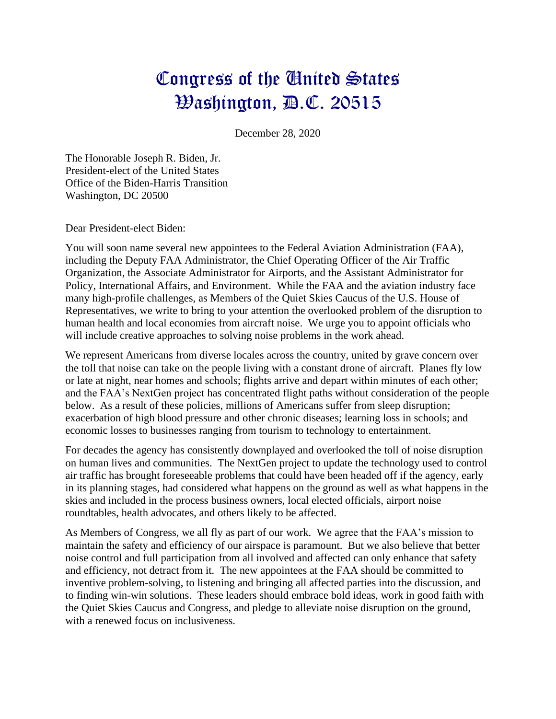## Congress of the United States Washington, D.C. 20515

December 28, 2020

The Honorable Joseph R. Biden, Jr. President-elect of the United States Office of the Biden-Harris Transition Washington, DC 20500

Dear President-elect Biden:

You will soon name several new appointees to the Federal Aviation Administration (FAA), including the Deputy FAA Administrator, the Chief Operating Officer of the Air Traffic Organization, the Associate Administrator for Airports, and the Assistant Administrator for Policy, International Affairs, and Environment. While the FAA and the aviation industry face many high-profile challenges, as Members of the Quiet Skies Caucus of the U.S. House of Representatives, we write to bring to your attention the overlooked problem of the disruption to human health and local economies from aircraft noise. We urge you to appoint officials who will include creative approaches to solving noise problems in the work ahead.

We represent Americans from diverse locales across the country, united by grave concern over the toll that noise can take on the people living with a constant drone of aircraft. Planes fly low or late at night, near homes and schools; flights arrive and depart within minutes of each other; and the FAA's NextGen project has concentrated flight paths without consideration of the people below. As a result of these policies, millions of Americans suffer from sleep disruption; exacerbation of high blood pressure and other chronic diseases; learning loss in schools; and economic losses to businesses ranging from tourism to technology to entertainment.

For decades the agency has consistently downplayed and overlooked the toll of noise disruption on human lives and communities. The NextGen project to update the technology used to control air traffic has brought foreseeable problems that could have been headed off if the agency, early in its planning stages, had considered what happens on the ground as well as what happens in the skies and included in the process business owners, local elected officials, airport noise roundtables, health advocates, and others likely to be affected.

As Members of Congress, we all fly as part of our work. We agree that the FAA's mission to maintain the safety and efficiency of our airspace is paramount. But we also believe that better noise control and full participation from all involved and affected can only enhance that safety and efficiency, not detract from it. The new appointees at the FAA should be committed to inventive problem-solving, to listening and bringing all affected parties into the discussion, and to finding win-win solutions. These leaders should embrace bold ideas, work in good faith with the Quiet Skies Caucus and Congress, and pledge to alleviate noise disruption on the ground, with a renewed focus on inclusiveness.